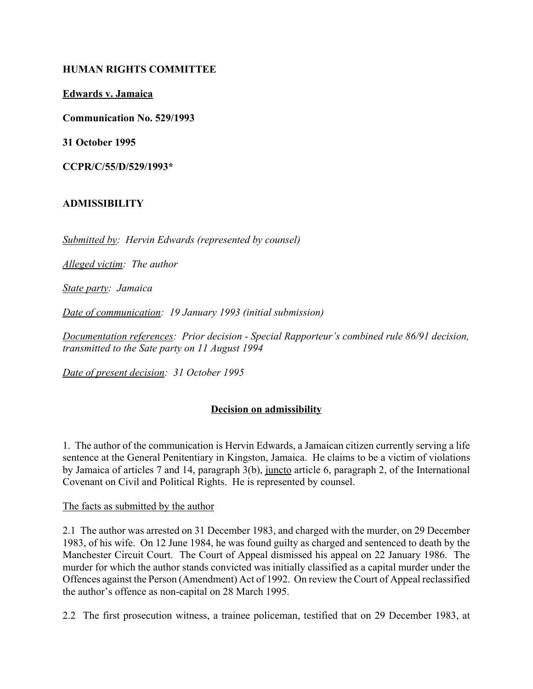## **HUMAN RIGHTS COMMITTEE**

**Edwards v. Jamaica**

**Communication No. 529/1993**

**31 October 1995**

**CCPR/C/55/D/529/1993\***

# **ADMISSIBILITY**

*Submitted by: Hervin Edwards (represented by counsel)*

*Alleged victim: The author*

*State party: Jamaica*

*Date of communication: 19 January 1993 (initial submission)*

*Documentation references: Prior decision - Special Rapporteur's combined rule 86/91 decision, transmitted to the Sate party on 11 August 1994*

*Date of present decision: 31 October 1995*

# **Decision on admissibility**

1. The author of the communication is Hervin Edwards, a Jamaican citizen currently serving a life sentence at the General Penitentiary in Kingston, Jamaica. He claims to be a victim of violations by Jamaica of articles 7 and 14, paragraph 3(b), juncto article 6, paragraph 2, of the International Covenant on Civil and Political Rights. He is represented by counsel.

### The facts as submitted by the author

2.1 The author was arrested on 31 December 1983, and charged with the murder, on 29 December 1983, of his wife. On 12 June 1984, he was found guilty as charged and sentenced to death by the Manchester Circuit Court. The Court of Appeal dismissed his appeal on 22 January 1986. The murder for which the author stands convicted was initially classified as a capital murder under the Offences against the Person (Amendment) Act of 1992. On review the Court of Appeal reclassified the author's offence as non-capital on 28 March 1995.

2.2 The first prosecution witness, a trainee policeman, testified that on 29 December 1983, at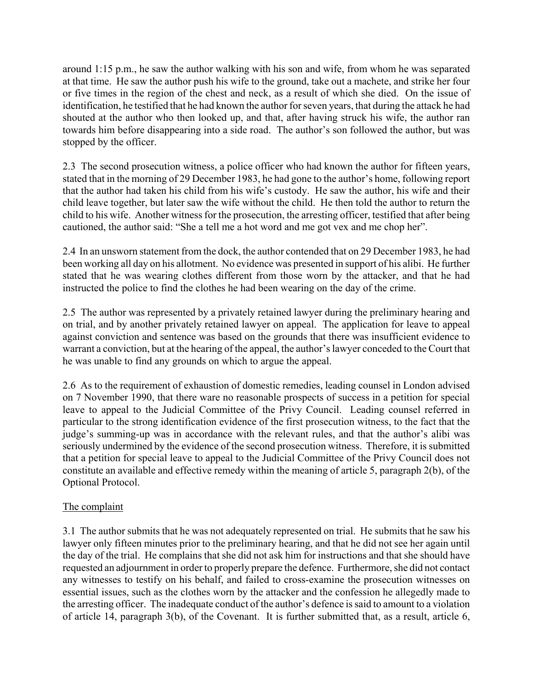around 1:15 p.m., he saw the author walking with his son and wife, from whom he was separated at that time. He saw the author push his wife to the ground, take out a machete, and strike her four or five times in the region of the chest and neck, as a result of which she died. On the issue of identification, he testified that he had known the author for seven years, that during the attack he had shouted at the author who then looked up, and that, after having struck his wife, the author ran towards him before disappearing into a side road. The author's son followed the author, but was stopped by the officer.

2.3 The second prosecution witness, a police officer who had known the author for fifteen years, stated that in the morning of 29 December 1983, he had gone to the author's home, following report that the author had taken his child from his wife's custody. He saw the author, his wife and their child leave together, but later saw the wife without the child. He then told the author to return the child to his wife. Another witness for the prosecution, the arresting officer, testified that after being cautioned, the author said: "She a tell me a hot word and me got vex and me chop her".

2.4 In an unsworn statement from the dock, the author contended that on 29 December 1983, he had been working all day on his allotment. No evidence was presented in support of his alibi. He further stated that he was wearing clothes different from those worn by the attacker, and that he had instructed the police to find the clothes he had been wearing on the day of the crime.

2.5 The author was represented by a privately retained lawyer during the preliminary hearing and on trial, and by another privately retained lawyer on appeal. The application for leave to appeal against conviction and sentence was based on the grounds that there was insufficient evidence to warrant a conviction, but at the hearing of the appeal, the author's lawyer conceded to the Court that he was unable to find any grounds on which to argue the appeal.

2.6 As to the requirement of exhaustion of domestic remedies, leading counsel in London advised on 7 November 1990, that there ware no reasonable prospects of success in a petition for special leave to appeal to the Judicial Committee of the Privy Council. Leading counsel referred in particular to the strong identification evidence of the first prosecution witness, to the fact that the judge's summing-up was in accordance with the relevant rules, and that the author's alibi was seriously undermined by the evidence of the second prosecution witness. Therefore, it is submitted that a petition for special leave to appeal to the Judicial Committee of the Privy Council does not constitute an available and effective remedy within the meaning of article 5, paragraph 2(b), of the Optional Protocol.

# The complaint

3.1 The author submits that he was not adequately represented on trial. He submits that he saw his lawyer only fifteen minutes prior to the preliminary hearing, and that he did not see her again until the day of the trial. He complains that she did not ask him for instructions and that she should have requested an adjournment in order to properly prepare the defence. Furthermore, she did not contact any witnesses to testify on his behalf, and failed to cross-examine the prosecution witnesses on essential issues, such as the clothes worn by the attacker and the confession he allegedly made to the arresting officer. The inadequate conduct of the author's defence is said to amount to a violation of article 14, paragraph 3(b), of the Covenant. It is further submitted that, as a result, article 6,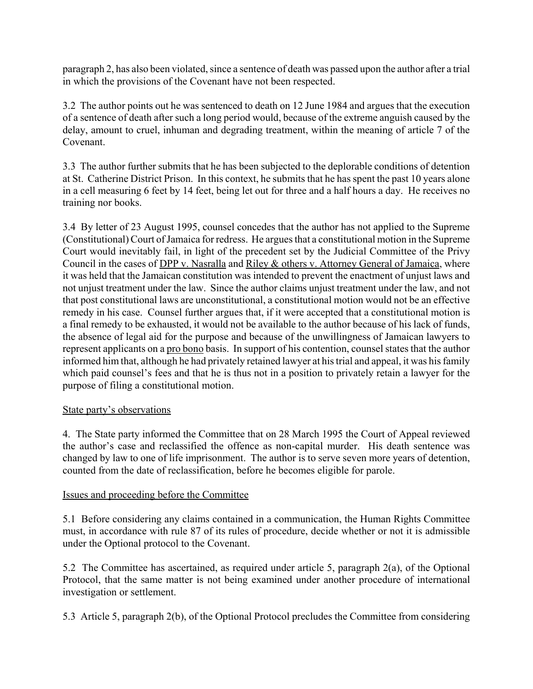paragraph 2, has also been violated, since a sentence of death was passed upon the author after a trial in which the provisions of the Covenant have not been respected.

3.2 The author points out he was sentenced to death on 12 June 1984 and argues that the execution of a sentence of death after such a long period would, because of the extreme anguish caused by the delay, amount to cruel, inhuman and degrading treatment, within the meaning of article 7 of the Covenant.

3.3 The author further submits that he has been subjected to the deplorable conditions of detention at St. Catherine District Prison. In this context, he submits that he has spent the past 10 years alone in a cell measuring 6 feet by 14 feet, being let out for three and a half hours a day. He receives no training nor books.

3.4 By letter of 23 August 1995, counsel concedes that the author has not applied to the Supreme (Constitutional) Court of Jamaica for redress. He argues that a constitutional motion in the Supreme Court would inevitably fail, in light of the precedent set by the Judicial Committee of the Privy Council in the cases of DPP v. Nasralla and Riley & others v. Attorney General of Jamaica, where it was held that the Jamaican constitution was intended to prevent the enactment of unjust laws and not unjust treatment under the law. Since the author claims unjust treatment under the law, and not that post constitutional laws are unconstitutional, a constitutional motion would not be an effective remedy in his case. Counsel further argues that, if it were accepted that a constitutional motion is a final remedy to be exhausted, it would not be available to the author because of his lack of funds, the absence of legal aid for the purpose and because of the unwillingness of Jamaican lawyers to represent applicants on a pro bono basis. In support of his contention, counsel states that the author informed him that, although he had privately retained lawyer at his trial and appeal, it was his family which paid counsel's fees and that he is thus not in a position to privately retain a lawyer for the purpose of filing a constitutional motion.

# State party's observations

4. The State party informed the Committee that on 28 March 1995 the Court of Appeal reviewed the author's case and reclassified the offence as non-capital murder. His death sentence was changed by law to one of life imprisonment. The author is to serve seven more years of detention, counted from the date of reclassification, before he becomes eligible for parole.

# Issues and proceeding before the Committee

5.1 Before considering any claims contained in a communication, the Human Rights Committee must, in accordance with rule 87 of its rules of procedure, decide whether or not it is admissible under the Optional protocol to the Covenant.

5.2 The Committee has ascertained, as required under article 5, paragraph 2(a), of the Optional Protocol, that the same matter is not being examined under another procedure of international investigation or settlement.

5.3 Article 5, paragraph 2(b), of the Optional Protocol precludes the Committee from considering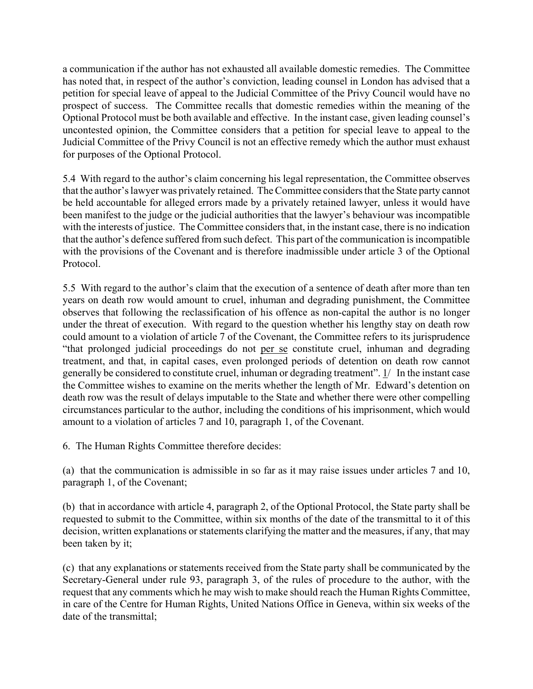a communication if the author has not exhausted all available domestic remedies. The Committee has noted that, in respect of the author's conviction, leading counsel in London has advised that a petition for special leave of appeal to the Judicial Committee of the Privy Council would have no prospect of success. The Committee recalls that domestic remedies within the meaning of the Optional Protocol must be both available and effective. In the instant case, given leading counsel's uncontested opinion, the Committee considers that a petition for special leave to appeal to the Judicial Committee of the Privy Council is not an effective remedy which the author must exhaust for purposes of the Optional Protocol.

5.4 With regard to the author's claim concerning his legal representation, the Committee observes that the author's lawyer was privately retained. The Committee considers that the State party cannot be held accountable for alleged errors made by a privately retained lawyer, unless it would have been manifest to the judge or the judicial authorities that the lawyer's behaviour was incompatible with the interests of justice. The Committee considers that, in the instant case, there is no indication that the author's defence suffered from such defect. This part of the communication is incompatible with the provisions of the Covenant and is therefore inadmissible under article 3 of the Optional Protocol.

5.5 With regard to the author's claim that the execution of a sentence of death after more than ten years on death row would amount to cruel, inhuman and degrading punishment, the Committee observes that following the reclassification of his offence as non-capital the author is no longer under the threat of execution. With regard to the question whether his lengthy stay on death row could amount to a violation of article 7 of the Covenant, the Committee refers to its jurisprudence ìthat prolonged judicial proceedings do not per se constitute cruel, inhuman and degrading treatment, and that, in capital cases, even prolonged periods of detention on death row cannot generally be considered to constitute cruel, inhuman or degrading treatment".  $\frac{1}{1}$  In the instant case the Committee wishes to examine on the merits whether the length of Mr. Edward's detention on death row was the result of delays imputable to the State and whether there were other compelling circumstances particular to the author, including the conditions of his imprisonment, which would amount to a violation of articles 7 and 10, paragraph 1, of the Covenant.

6. The Human Rights Committee therefore decides:

(a) that the communication is admissible in so far as it may raise issues under articles 7 and 10, paragraph 1, of the Covenant;

(b) that in accordance with article 4, paragraph 2, of the Optional Protocol, the State party shall be requested to submit to the Committee, within six months of the date of the transmittal to it of this decision, written explanations or statements clarifying the matter and the measures, if any, that may been taken by it;

(c) that any explanations or statements received from the State party shall be communicated by the Secretary-General under rule 93, paragraph 3, of the rules of procedure to the author, with the request that any comments which he may wish to make should reach the Human Rights Committee, in care of the Centre for Human Rights, United Nations Office in Geneva, within six weeks of the date of the transmittal;